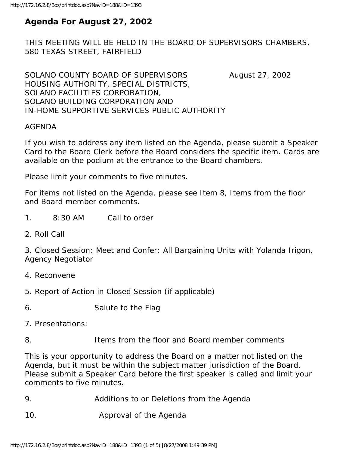# **Agenda For August 27, 2002**

THIS MEETING WILL BE HELD IN THE BOARD OF SUPERVISORS CHAMBERS, 580 TEXAS STREET, FAIRFIELD

SOLANO COUNTY BOARD OF SUPERVISORS August 27, 2002 HOUSING AUTHORITY, SPECIAL DISTRICTS, SOLANO FACILITIES CORPORATION, SOLANO BUILDING CORPORATION AND IN-HOME SUPPORTIVE SERVICES PUBLIC AUTHORITY

# AGENDA

If you wish to address any item listed on the Agenda, please submit a Speaker Card to the Board Clerk before the Board considers the specific item. Cards are available on the podium at the entrance to the Board chambers.

Please limit your comments to five minutes.

For items not listed on the Agenda, please see Item 8, Items from the floor and Board member comments.

- 1. 8:30 AM Call to order
- 2. Roll Call

3. Closed Session: Meet and Confer: All Bargaining Units with Yolanda Irigon, Agency Negotiator

- 4. Reconvene
- 5. Report of Action in Closed Session (if applicable)

6. Salute to the Flag

- 7. Presentations:
- 8. Items from the floor and Board member comments

This is your opportunity to address the Board on a matter not listed on the Agenda, but it must be within the subject matter jurisdiction of the Board. Please submit a Speaker Card before the first speaker is called and limit your comments to five minutes.

- 9. Additions to or Deletions from the Agenda
- 10. Approval of the Agenda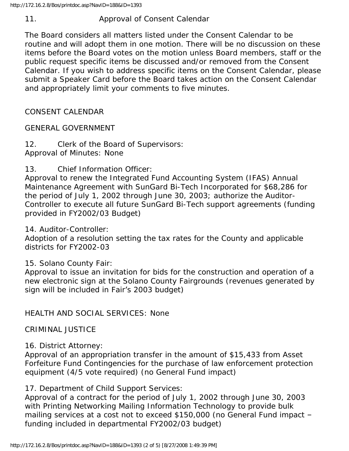11. Approval of Consent Calendar

The Board considers all matters listed under the Consent Calendar to be routine and will adopt them in one motion. There will be no discussion on these items before the Board votes on the motion unless Board members, staff or the public request specific items be discussed and/or removed from the Consent Calendar. If you wish to address specific items on the Consent Calendar, please submit a Speaker Card before the Board takes action on the Consent Calendar and appropriately limit your comments to five minutes.

CONSENT CALENDAR

GENERAL GOVERNMENT

12. Clerk of the Board of Supervisors: Approval of Minutes: None

13. Chief Information Officer:

Approval to renew the Integrated Fund Accounting System (IFAS) Annual Maintenance Agreement with SunGard Bi-Tech Incorporated for \$68,286 for the period of July 1, 2002 through June 30, 2003; authorize the Auditor-Controller to execute all future SunGard Bi-Tech support agreements (funding provided in FY2002/03 Budget)

14. Auditor-Controller:

Adoption of a resolution setting the tax rates for the County and applicable districts for FY2002-03

15. Solano County Fair:

Approval to issue an invitation for bids for the construction and operation of a new electronic sign at the Solano County Fairgrounds (revenues generated by sign will be included in Fair's 2003 budget)

HEALTH AND SOCIAL SERVICES: None

CRIMINAL JUSTICE

16. District Attorney:

Approval of an appropriation transfer in the amount of \$15,433 from Asset Forfeiture Fund Contingencies for the purchase of law enforcement protection equipment (4/5 vote required) (no General Fund impact)

17. Department of Child Support Services:

Approval of a contract for the period of July 1, 2002 through June 30, 2003 with Printing Networking Mailing Information Technology to provide bulk mailing services at a cost not to exceed \$150,000 (no General Fund impact – funding included in departmental FY2002/03 budget)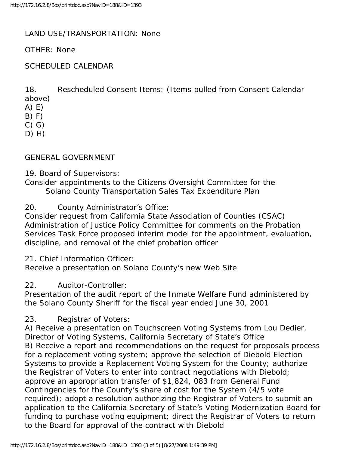# LAND USE/TRANSPORTATION: None

#### OTHER: None

#### SCHEDULED CALENDAR

18. Rescheduled Consent Items: (Items pulled from Consent Calendar

above) A) E)

 $B) F)$ 

C) G)

 $D)$  H)

#### GENERAL GOVERNMENT

19. Board of Supervisors:

Consider appointments to the Citizens Oversight Committee for the Solano County Transportation Sales Tax Expenditure Plan

20. County Administrator's Office:

Consider request from California State Association of Counties (CSAC) Administration of Justice Policy Committee for comments on the Probation Services Task Force proposed interim model for the appointment, evaluation, discipline, and removal of the chief probation officer

21. Chief Information Officer:

Receive a presentation on Solano County's new Web Site

# 22. Auditor-Controller:

Presentation of the audit report of the Inmate Welfare Fund administered by the Solano County Sheriff for the fiscal year ended June 30, 2001

23. Registrar of Voters:

A) Receive a presentation on Touchscreen Voting Systems from Lou Dedier, Director of Voting Systems, California Secretary of State's Office B) Receive a report and recommendations on the request for proposals process for a replacement voting system; approve the selection of Diebold Election Systems to provide a Replacement Voting System for the County; authorize the Registrar of Voters to enter into contract negotiations with Diebold; approve an appropriation transfer of \$1,824, 083 from General Fund Contingencies for the County's share of cost for the System (4/5 vote required); adopt a resolution authorizing the Registrar of Voters to submit an application to the California Secretary of State's Voting Modernization Board for funding to purchase voting equipment; direct the Registrar of Voters to return to the Board for approval of the contract with Diebold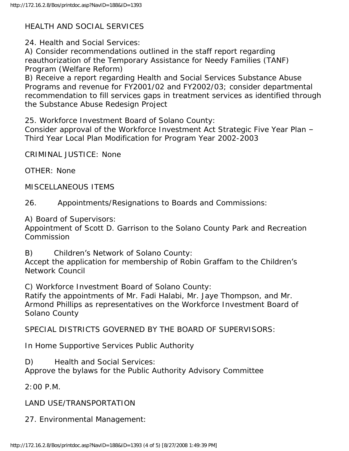# HEALTH AND SOCIAL SERVICES

24. Health and Social Services:

A) Consider recommendations outlined in the staff report regarding reauthorization of the Temporary Assistance for Needy Families (TANF) Program (Welfare Reform)

B) Receive a report regarding Health and Social Services Substance Abuse Programs and revenue for FY2001/02 and FY2002/03; consider departmental recommendation to fill services gaps in treatment services as identified through the Substance Abuse Redesign Project

25. Workforce Investment Board of Solano County:

Consider approval of the Workforce Investment Act Strategic Five Year Plan – Third Year Local Plan Modification for Program Year 2002-2003

CRIMINAL JUSTICE: None

OTHER: None

MISCELLANEOUS ITEMS

26. Appointments/Resignations to Boards and Commissions:

A) Board of Supervisors:

Appointment of Scott D. Garrison to the Solano County Park and Recreation Commission

B) Children's Network of Solano County:

Accept the application for membership of Robin Graffam to the Children's Network Council

C) Workforce Investment Board of Solano County:

Ratify the appointments of Mr. Fadi Halabi, Mr. Jaye Thompson, and Mr. Armond Phillips as representatives on the Workforce Investment Board of Solano County

SPECIAL DISTRICTS GOVERNED BY THE BOARD OF SUPERVISORS:

In Home Supportive Services Public Authority

D) Health and Social Services:

Approve the bylaws for the Public Authority Advisory Committee

2:00 P.M.

LAND USE/TRANSPORTATION

27. Environmental Management: